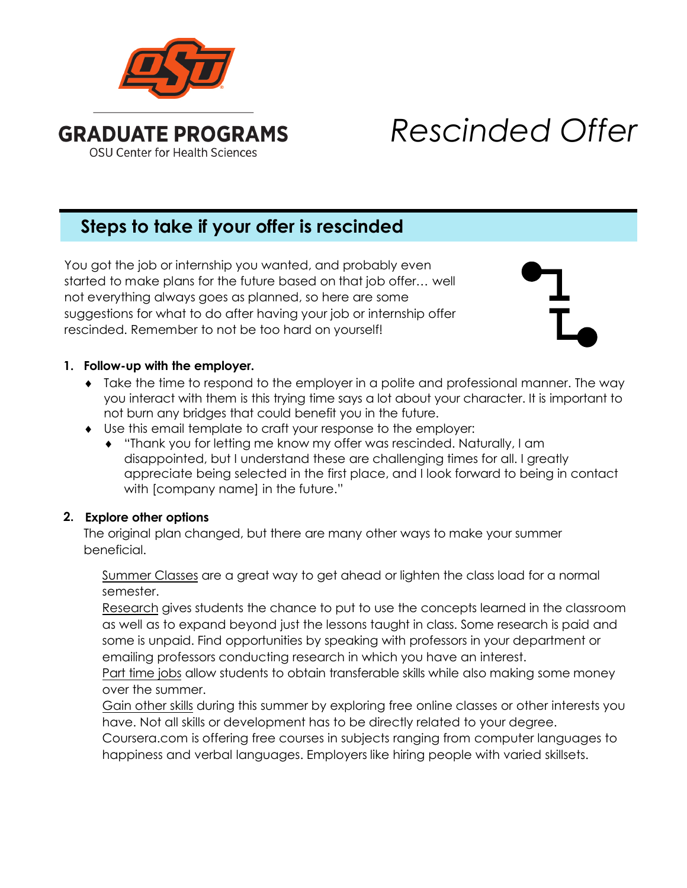

# *Rescinded Offer*

# **Steps to take if your offer is rescinded**

You got the job or internship you wanted, and probably even started to make plans for the future based on that job offer… well not everything always goes as planned, so here are some suggestions for what to do after having your job or internship offer rescinded. Remember to not be too hard on yourself!

## **1. Follow-up with the employer.**

- ♦ Take the time to respond to the employer in a polite and professional manner. The way you interact with them is this trying time says a lot about your character. It is important to not burn any bridges that could benefit you in the future.
- ♦ Use this email template to craft your response to the employer:
	- ♦ "Thank you for letting me know my offer was rescinded. Naturally, I am disappointed, but I understand these are challenging times for all. I greatly appreciate being selected in the first place, and I look forward to being in contact with [company name] in the future."

## **2. Explore other options**

The original plan changed, but there are many other ways to make your summer beneficial.

Summer Classes are a great way to get ahead or lighten the class load for a normal semester.

Research gives students the chance to put to use the concepts learned in the classroom as well as to expand beyond just the lessons taught in class. Some research is paid and some is unpaid. Find opportunities by speaking with professors in your department or emailing professors conducting research in which you have an interest.

Part time jobs allow students to obtain transferable skills while also making some money over the summer.

Gain other skills during this summer by exploring free online classes or other interests you have. Not all skills or development has to be directly related to your degree.

Coursera.com is offering free courses in subjects ranging from computer languages to happiness and verbal languages. Employers like hiring people with varied skillsets.